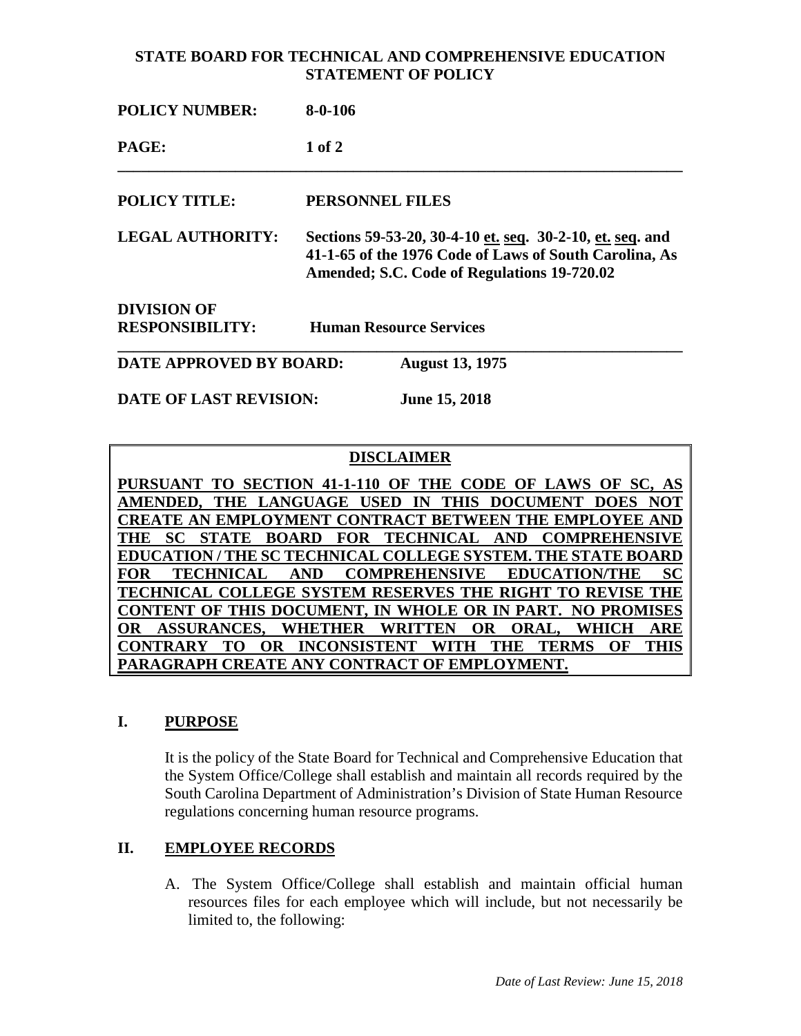### **STATE BOARD FOR TECHNICAL AND COMPREHENSIVE EDUCATION STATEMENT OF POLICY**

| <b>POLICY NUMBER:</b>         | $8-0-106$                                                                                                                                                          |                        |
|-------------------------------|--------------------------------------------------------------------------------------------------------------------------------------------------------------------|------------------------|
| PAGE:                         | $1$ of $2$                                                                                                                                                         |                        |
| <b>POLICY TITLE:</b>          | PERSONNEL FILES                                                                                                                                                    |                        |
| <b>LEGAL AUTHORITY:</b>       | Sections 59-53-20, 30-4-10 et. seq. 30-2-10, et. seq. and<br>41-1-65 of the 1976 Code of Laws of South Carolina, As<br>Amended; S.C. Code of Regulations 19-720.02 |                        |
| <b>DIVISION OF</b>            |                                                                                                                                                                    |                        |
| <b>RESPONSIBILITY:</b>        | <b>Human Resource Services</b>                                                                                                                                     |                        |
| DATE APPROVED BY BOARD:       |                                                                                                                                                                    | <b>August 13, 1975</b> |
| <b>DATE OF LAST REVISION:</b> |                                                                                                                                                                    | <b>June 15, 2018</b>   |

# **DISCLAIMER**

**PURSUANT TO SECTION 41-1-110 OF THE CODE OF LAWS OF SC, AS AMENDED, THE LANGUAGE USED IN THIS DOCUMENT DOES NOT CREATE AN EMPLOYMENT CONTRACT BETWEEN THE EMPLOYEE AND THE SC STATE BOARD FOR TECHNICAL AND COMPREHENSIVE EDUCATION / THE SC TECHNICAL COLLEGE SYSTEM. THE STATE BOARD FOR TECHNICAL AND COMPREHENSIVE EDUCATION/THE SC TECHNICAL COLLEGE SYSTEM RESERVES THE RIGHT TO REVISE THE CONTENT OF THIS DOCUMENT, IN WHOLE OR IN PART. NO PROMISES OR ASSURANCES, WHETHER WRITTEN OR ORAL, WHICH ARE CONTRARY TO OR INCONSISTENT WITH THE TERMS OF THIS PARAGRAPH CREATE ANY CONTRACT OF EMPLOYMENT.**

# **I. PURPOSE**

It is the policy of the State Board for Technical and Comprehensive Education that the System Office/College shall establish and maintain all records required by the South Carolina Department of Administration's Division of State Human Resource regulations concerning human resource programs.

# **II. EMPLOYEE RECORDS**

A. The System Office/College shall establish and maintain official human resources files for each employee which will include, but not necessarily be limited to, the following: